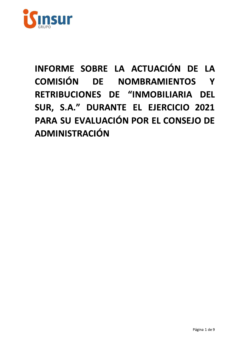

INFORME SOBRE LA ACTUACIÓN DE LA COMISIÓN DE NOMBRAMIENTOS Y RETRIBUCIONES DE "INMOBILIARIA DEL SUR, S.A." DURANTE EL EJERCICIO 2021 PARA SU EVALUACIÓN POR EL CONSEJO DE **ADMINISTRACIÓN**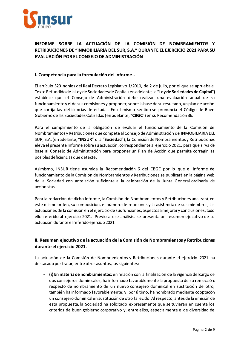

# INFORME SOBRE LA ACTUACIÓN DE LA COMISIÓN DE NOMBRAMIENTOS Y RETRIBUCIONES DE "INMOBILIARIA DEL SUR. S.A." DURANTE EL EJERCICIO 2021 PARA SU EVALUACIÓN POR EL CONSEJO DE ADMINISTRACIÓN

### I. Competencia para la formulación del informe.-

El artículo 529 nonies del Real Decreto Legislativo 1/2010, de 2 de julio, por el que se aprueba el Texto Refundido de la Ley de Sociedades de Capital (en adelante, la "Ley de Sociedades de Capital") establece que el Consejo de Administración debe realizar una evaluación anual de su funcionamiento y el de sus comisiones y proponer, sobre la base de su resultado, un plan de acción que corrija las deficiencias detectadas. En el mismo sentido se pronuncia el Código de Buen Gobierno de las Sociedades Cotizadas (en adelante, "CBGC") en su Recomendación 36.

Para el cumplimiento de la obligación de evaluar el funcionamiento de la Comisión de Nombramientos y Retribuciones que compete al Consejo de Administración de INMOBILIARIA DEL SUR, S.A. (en adelante, "INSUR" o la "Sociedad"), la Comisión de Nombramientos y Retribuciones eleva el presente Informe sobre su actuación, correspondiente al ejercicio 2021, para que sirva de base al Consejo de Administración para proponer un Plan de Acción que permita corregir las posibles deficiencias que detecte.

Asimismo, INSUR tiene asumida la Recomendación 6 del CBGC por lo que el Informe de funcionamiento de la Comisión de Nombramientos y Retribuciones se publicará en la página web de la Sociedad con antelación suficiente a la celebración de la Junta General ordinaria de accionistas.

Para la redacción de dicho informe, la Comisión de Nombramientos y Retribuciones analizará, en este mismo orden, su composición, el número de reuniones y la asistencia de sus miembros, las actuaciones de la comisión en el ejercicio de sus funciones, aspectos a mejorar y conclusiones, todo ello referido al ejercicio 2021. Previo a ese análisis, se presenta un resumen ejecutivo de su actuación durante el referido ejercicio 2021.

## II. Resumen ejecutivo de la actuación de la Comisión de Nombramientos y Retribuciones durante el ejercicio 2021.

La actuación de la Comisión de Nombramientos y Retribuciones durante el ejercicio 2021 ha destacado por tratar, entre otros asuntos, los siguientes:

(i) En materia de nombramientos: en relación con la finalización de la vigencia del cargo de dos consejeros dominicales, ha informado favorablemente la propuesta de su reelección; respecto de nombramiento de un nuevo consejero dominical en sustitución de otro, también ha informado favorablemente; y, por último, ha nombrado mediante cooptación un consejero dominical en sustitución de otro fallecido. Al respecto, antes de la emisión de esta propuesta, la Sociedad ha solicitado expresamente que se tuvieran en cuenta los criterios de buen gobierno corporativo y, entre ellos, especialmente el de diversidad de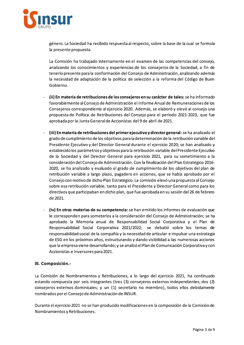

genero. La Sociedad ha recibido respuesta al respecto, sobre la base de la cual se formula la presente propuesta.

La Comisión ha trabajado internamente en el examen de las competencias del consejo, analizando los conocimientos y experiencias de los consejeros de la Sociedad, a fin de tenerlo presente para la conformación del Consejo de Administración, analizando ademas la necesidad de adaptación de la política de selección a la reforma del Codigo de Buen Gobierno.

- La Comisión ha trabajado internamente en el examen de las competencias<br>
analizando los conocimientos y experiencias de los consejeros de la Socie<br>
tenerlo presente para la conformación del Consejo de Administración, analiz (ii) En materia de retribuciones de los consejeros en su carácter de tales: se ha informado favorablemente al Consejo de Administración el Informe Anual de Remuneraciones de los Consejeros correspondiente al ejercicio 2020. Ademas, se elaboro y elevo al consejo una propuesta de Política de Retribuciones del Consejo para el período 2021-2023, que fue aprobada por la Junta General de Accionistas del 9 de abril de 2021.
- io de Administración, analizando además<br>ección a la reforma del Código de Buen<br>en su carácter de tales: se ha informado<br>aforme Anual de Remuneraciones de los<br>emás, se elaboró y elevó al consejo una<br>ejo para el periodo 2021 (ii) En materia de retribuciones de los consejeros en su carácter de tales: se<br>
favorablemente al Consejo de Administración el Informe Anual de Remune<br>
Consejeros correspondiente al ejercicio 2020. Además, se elaboró y ele ha analizado el grado de cumplimiento de los objetivos para la determinación de la retribución variable del Presidente Ejecutivo y del Director General durante el ejercicio 2020; se han analizado y establecido los parametros y objetivos para la retribución variable del Presidente Ejecutivo de la Sociedad y del Director General para ejercicio 2021, para su sometimiento a la consideración del Consejo de Administración. Con la finalización del Pla 121.<br> **general:** se ha analizado el<br>
la retribución variable del<br>
2020; se han analizado y<br>
le del Presidente Ejecutivo<br>
ara su sometimiento a la<br>
del Plan Estratégico 2016-<br>
los objetivos del plan de<br>
se había aprobado po 2020, se ha analizado y evaluado el grado de cumplimiento de los objetivos del plan de retribución variable a largo plazó, pagaderolen acciones, que se había aprobado por el Consejo con motivo de dicho Plan Estrategico. La comisión elevo una propuesta al Consejo sobre esa retribución variable, tanto para el Presidente y Director General como para los directivos que participaban en dicho plan, que fue aprobada en su sesión del 26 de febrero de 2021.
- 2020, se ha analizado y evaluado el grado de<br>
retribución variable a largo plazo, pagadero e<br>
Consejo con motivo de dicho Plan Estratégico.<br>
sobre esa retribución variable, tanto para el P<br>
directivos que participaban en d han emitido los informes de evaluación que le corresponden para someterlos a la consideración del Consejo de Administración; se ha aprobado la Memoria anual de Responsabilidad Social Corporativa y el Plan de Responsabilidad Social Corporativa 2021/2022; se debatio sobre los temas de responsabilidad social de la compania y la necesidad de articular le impulsar una estrategia de ESG en los proximos anos, estructurando y dando visibilidad a las numerosas acciones que la empresa viene desarrollando; y se analizo el Plan de Comunicación Corporativa y con Accionistas e Inversores para 2021.

### III. Composición.-

La Comisión de Nombramientos y Retribuciones, a lo largo del ejercicio 2021, ha continuado estando compuesta por seis integrantes (tres (3) consejeros externos independientes; dos (2) consejeros externos dominicales; y un (1) secretario no miembro), todos ellos debidamente nombrados por el Consejo de Administración de INSUR.

Durante el ejercicio 2021 no se han producido modificaciones en la composición de la Comisión de l Nombramientos y Retribuciones.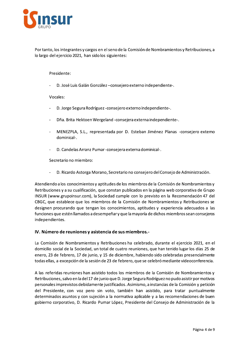

Por tanto, los integrantes y cargos en el seno de la Comisión de Nombramientos y Retribuciones, a lo largo del ejercicio 2021, han sido los siguientes:

#### Presidente:

D. José Luis Galán González-consejero externo independiente-.

#### Vocales:

- D. Jorge Segura Rodríguez consejero externo independiente-.
- Dña. Brita Hektoen Wergeland consejera externa independiente-.  $\mathbf{r}$
- MENEZPLA, S.L., representada por D. Esteban Jiménez Planas -consejero extemo dominical-.
- D. Candelas Arranz Pumar-consejera externa dominical-.

Secretario no miembro:

D. Ricardo Astorga Morano, Secretario no consejero del Consejo de Administración.

Atendiendo a los conocimientos y aptitudes de los miembros de la Comisión de Nombramientos y Retribuciones y a su cualificación, que constan publicados en la página web corporativa de Grupo INSUR (www.grupoinsur.com), la Sociedad cumple con lo previsto en la Recomendación 47 del CBGC, que establece que los miembros de la Comisión de Nombramientos y Retribuciones se designen procurando que tengan los conocimientos, aptitudes y experiencia adecuados a las funciones que estén llamados a desempeñar y que la mayoría de dichos miembros sean consejeros independientes.

#### IV. Número de reuniones y asistencia de sus miembros.-

La Comisión de Nombramientos y Retribuciones ha celebrado, durante el ejercicio 2021, en el domicilio social de la Sociedad, un total de cuatro reuniones, que han tenido lugar los días 25 de enero, 23 de febrero, 17 de junio, y 15 de diciembre, habiendo sido celebradas presencialmente todas ellas, a excepción de la sesión de 23 de febrero, que se celebró mediante videoconferencia.

A las referidas reuniones han asistido todos los miembros de la Comisión de Nombramientos y Retribuciones, salvo en la del 17 de junio que D. Jorge Segura Rodríguez no pudo asistir por motivos personales imprevistos debidamente justificados. Asimismo, a instancias de la Comisión y petición del Presidente, con voz pero sin voto, también han asistido, para tratar puntualmente determinados asuntos y con sujeción a la normativa aplicable y a las recomendaciones de buen gobierno corporativo, D. Ricardo Pumar López, Presidente del Consejo de Administración de la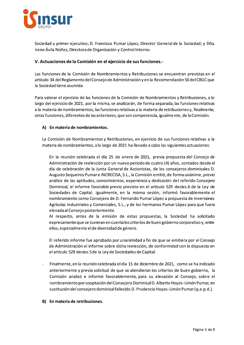

Sociedad y primer ejecutivo; D. Francisco Pumar López, Director General de la Sociedad; y Dña. Irene Ávila Núñez, Directora de Organización y Control Interno.

### V. Actuaciones de la Comisión en el ejercicio de sus funciones.-

Las funciones de la Comisión de Nombramientos y Retribuciones se encuentran previstas en el artículo 34 del Reglamento del Consejo de Administración y en la Recomendación 50 del CBGC que la Sociedad tiene asumida.

Para valorar el ejercicio de las funciones de la Comisión de Nombramientos y Retribuciones, a lo largo del ejercicio de 2021, por la misma, se analizarán, de forma separada, las funciones relativas a la materia de nombramientos, las funciones relativas a la materia de retribuciones y, finalmente, otras funciones, diferentes de las anteriores, que son competencia, igualmente, de la Comisión.

### A) En materia de nombramientos.

La Comisión de Nombramientos y Retribuciones, en ejercicio de sus funciones relativas a la materia de nombramientos, a lo largo de 2021 ha llevado a cabo las siguientes actuaciones:

En la reunión celebrada el día 25 de enero de 2021, previa propuesta del Consejo de Administración de reelección por un nuevo periodo de cuatro (4) años, contados desde el día de celebración de la Junta General de Accionistas, de los consejeros dominicales D. Augusto Sequeiros Pumar e INCRECISA, S.L., la Comisión emitió, de forma unánime, previo análisis de las aptitudes, conocimientos, experiencia y dedicación del referido Consejero Dominical, el informe favorable previo previsto en el artículo 529 decies.6 de la Ley de Sociedades de Capital. Igualmente, en la misma sesión, informó favorablemente el nombramiento como Consejero de D. Fernando Pumar López a propuesta de Inversiones Agrícolas Industriales y Comerciales, S.L., y de los hermanos Pumar López para que fuera elevada al Consejo posteriormente.

Al respecto, antes de la emisión de estas propuestas, la Sociedad ha solicitado expresamente que se tuvieran en cuenta los criterios de buen gobierno corporativo y, entre ellos, especialmente el de diversidad de género.

El referido informe fue aprobado por unanimidad a fin de que se emitiera por el Consejo de Administración el informe sobre dicha reelección, de conformidad con lo dispuesto en el artículo 529 decies.5 de la Ley de Sociedades de Capital.

Finalmente, en la reunión celebrada el día 15 de diciembre de 2021, como se ha indicado anteriormente y previa solicitud de que se atendieran los criterios de buen gobierno, la Comisión analizó e informó favorablemente, para su elevación al Consejo, sobre el nombramiento por cooptación del Consejero Dominical D. Alberto Hoyos-Limón Pumar, en sustitución del consejero dominical fallecido D. Prudencio Hoyos-Limón Pumar (q.e.p.d.).

#### B) En materia de retribuciones.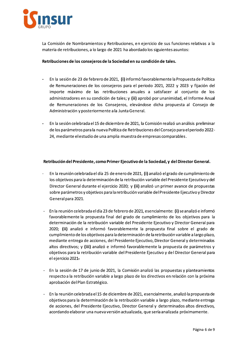

La Comisión de Nombramientos y Retribuciones, en ejercicio de sus funciones relativas a la materia de retribuciones, a lo largo de 2021 ha abordado los siguientes asuntos:

Retribuciones de los consejeros de la Sociedad en su condición de tales.

- En la sesión de 23 de febrero de 2021, (i) informó favorablemente la Propuesta de Política de Remuneraciones de los consejeros para el periodo 2021, 2022 y 2023 y fijación del importe máximo de las retribuciones anuales a satisfacer al conjunto de los administradores en su condición de tales; y (ii) aprobó por unanimidad, el Informe Anual de Remuneraciones de los Consejeros, elevándose dicha propuesta al Consejo de Administración y posteriormente a la Junta General.
- En la sesión celebrada el 15 de diciembre de 2021, la Comisión realizó un análisis preliminar de los parámetros para la nueva Política de Retribuciones del Consejo para el periodo 2022-24, mediante el estudio de una amplia muestra de empresas comparables.

#### Retribución del Presidente, como Primer Ejecutivo de la Sociedad, y del Director General.

- En la reunión celebrada el día 25 de enero de 2021, (i) analizó el grado de cumplimiento de los objetivos para la determinación de la retribución variable del Presidente Ejecutivo y del Director General durante el ejercicio 2020; y (ii) analizó un primer avance de propuestas sobre parámetros y objetivos para la retribución variable del Presidente Ejecutivo y Director General para 2021.
- En la reunión celebrada el día 23 de febrero de 2021, esencialmente: (i) se analizó e informó favorablemente la propuesta final del grado de cumplimiento de los objetivos para la determinación de la retribución variable del Presidente Ejecutivo y Director General para 2020; (ii) analizó e informó favorablemente la propuesta final sobre el grado de cumplimiento de los objetivos para la determinación de la retribución variable a largo plazo, mediante entrega de acciones, del Presidente Ejecutivo, Director General y determinados altos directivos; y (iii) analizó e informó favorablemente la propuesta de parámetros y objetivos para la retribución variable del Presidente Ejecutivo y del Director General para el ejercicio 2021.
- En la sesión de 17 de junio de 2021, la Comisión analizó las propuestas y planteamientos respecto a la retribución variable a largo plazo de los directivos en relación con la próxima aprobación del Plan Estratégico.
- En la reunión celebrada el 15 de diciembre de 2021, esencialmente, analizó la propuesta de objetivos para la determinación de la retribución variable a largo plazo, mediante entrega de acciones, del Presidente Ejecutivo, Director General y determinados altos directivos, acordando elaborar una nueva versión actualizada, que sería analizada próximamente.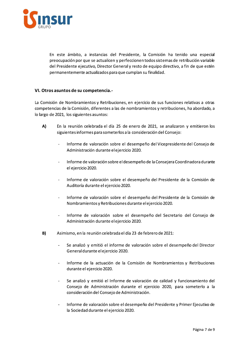

En este ámbito, a instancias del Presidente, la Comisión ha tenido una especial preocupación por que se actualicen y perfeccionen todos sistemas de retribución variable del Presidente ejecutivo, Director General y resto de equipo directivo, a fin de que estén permanentemente actualizados para que cumplan su finalidad.

### VI. Otros asuntos de su competencia.-

La Comisión de Nombramientos y Retribuciones, en ejercicio de sus funciones relativas a otras competencias de la Comisión, diferentes a las de nombramientos y retribuciones, ha abordado, a lo largo de 2021, los siguientes asuntos:

- A) En la reunión celebrada el día 25 de enero de 2021, se analizaron y emitieron los siguientes informes para someterlos a la consideración del Consejo:
	- Informe de valoración sobre el desempeño del Vicepresidente del Consejo de Administración durante el ejercicio 2020.
	- Informe de valoración sobre el desempeño de la Consejera Coordinadora durante el ejercicio 2020.
	- Informe de valoración sobre el desempeño del Presidente de la Comisión de Auditoría durante el ejercicio 2020.
	- Informe de valoración sobre el desempeño del Presidente de la Comisión de Nombramientos y Retribuciones durante el ejercicio 2020.
	- Informe de valoración sobre el desempeño del Secretario del Consejo de Administración durante el ejercicio 2020.
- $B)$ Asimismo, en la reunión celebrada el día 23 de febrero de 2021:
	- Se analizó y emitió el informe de valoración sobre el desempeño del Director General durante el ejercicio 2020.
	- Informe de la actuación de la Comisión de Nombramientos y Retribuciones durante el ejercicio 2020.
	- Se analizó y emitió el Informe de valoración de calidad y funcionamiento del Consejo de Administración durante el ejercicio 2020, para someterlo a la consideración del Consejo de Administración.
	- Informe de valoración sobre el desempeño del Presidente y Primer Ejecutivo de la Sociedad durante el ejercicio 2020.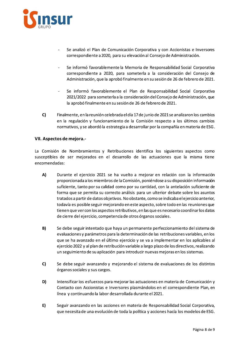

- Se analizó el Plan de Comunicación Corporativa y con Accionistas e Inversores correspondiente a 2020, para su elevación al Consejo de Administración.
- Se informó favorablemente la Memoria de Responsabilidad Social Corporativa correspondiente a 2020, para someterla a la consideración del Consejo de Administración, que la aprobó finalmente en su sesión de 26 de febrero de 2021.
- Se informó favorablemente el Plan de Responsabilidad Social Corporativa 2021/2022 para someterla a la consideración del Consejo de Administración, que la aprobó finalmente en su sesión de 26 de febrero de 2021.
- $C$ Finalmente, en la reunión celebrada el día 17 de junio de 2021 se analizaron los cambios en la regulación y funcionamiento de la Comisión respecto a los últimos cambios normativos, y se abordó la estrategia a desarrollar por la compañía en materia de ESG.

#### VII. Aspectos de mejora.-

La Comisión de Nombramientos y Retribuciones identifica los siguientes aspectos como susceptibles de ser mejorados en el desarrollo de las actuaciones que la misma tiene encomendadas:

- A) Durante el ejercicio 2021 se ha vuelto a mejorar en relación con la información proporcionada a los miembros de la Comisión, poniéndose a su disposición información suficiente, tanto por su calidad como por su cantidad, con la antelación suficiente de forma que se permita su correcto análisis para un ulterior debate sobre los asuntos tratados a partir de datos objetivos. No obstante, como se indicaba el ejercicio anterior, todavía es posible seguir mejorando en este aspecto, sobre todo en las reuniones que tienen que ver con los aspectos retributivos, en las que es necesario coordinar los datos de cierre del ejercicio, competencia de otros órganos sociales.
- $B)$ Se debe seguir intentado que haya un permanente perfeccionamiento del sistema de evaluaciones y parámetros para la determinación de las retribuciones variables, en los que se ha avanzado en el último ejercicio y se va a implementar en los aplicables al ejercicio 2022 y al plan de retribución variable a largo plazo de los directivos, realizando un seguimiento de su aplicación para introducir nuevas mejoras en los sistemas.
- $C$ Se debe seguir avanzando y mejorando el sistema de evaluaciones de los distintos órganos sociales y sus cargos.
- D) Intensificar los esfuerzos para mejorar las actuaciones en materia de Comunicación y Contacto con Accionistas e Inversores plasmándolos en el correspondiente Plan, en línea y continuando la labor desarrollada durante el 2021.
- E) Seguir avanzando en las acciones en materia de Responsabilidad Social Corporativa, que necesita de una evolución de toda la política y acciones hacía los modelos de ESG.